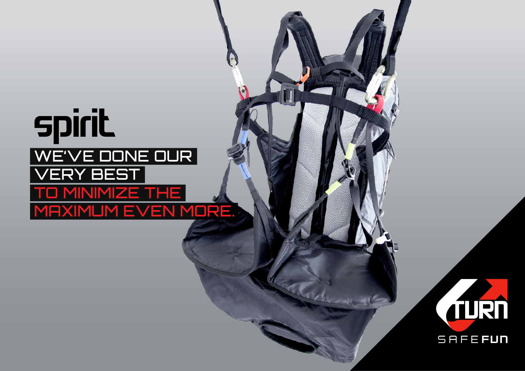## **spirit** We've done our very best to minimize the MAXIMUM EVEN MORE.

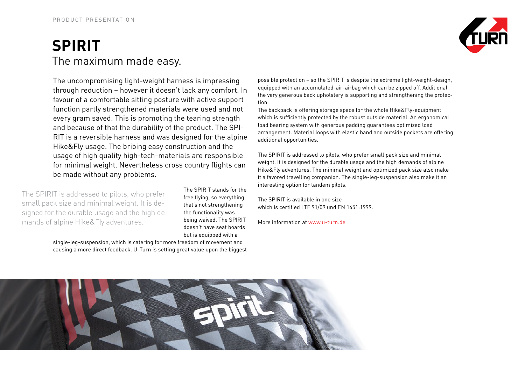## **Spirit** The maximum made easy.

The uncompromising light-weight harness is impressing through reduction – however it doesn't lack any comfort. In favour of a comfortable sitting posture with active support function partly strengthened materials were used and not every gram saved. This is promoting the tearing strength and because of that the durability of the product. The SPI-RIT is a reversible harness and was designed for the alpine Hike&Fly usage. The bribing easy construction and the usage of high quality high-tech-materials are responsible for minimal weight. Nevertheless cross country flights can be made without any problems.

The SPIRIT is addressed to pilots, who prefer small pack size and minimal weight. It is designed for the durable usage and the high demands of alpine Hike&Fly adventures.

The SPIRIT stands for the free flying, so everything that's not strengthening the functionality was being waived. The SPIRIT doesn't have seat boards but is equipped with a

single-leg-suspension, which is catering for more freedom of movement and causing a more direct feedback. U-Turn is setting great value upon the biggest



possible protection – so the SPIRIT is despite the extreme light-weight-design, equipped with an accumulated-air-airbag which can be zipped off. Additional the very generous back upholstery is supporting and strengthening the protection.

The backpack is offering storage space for the whole Hike&Fly-equipment which is sufficiently protected by the robust outside material. An ergonomical load bearing system with generous padding guarantees optimized load arrangement. Material loops with elastic band and outside pockets are offering additional opportunities.

The SPIRIT is addressed to pilots, who prefer small pack size and minimal weight. It is designed for the durable usage and the high demands of alpine Hike&Fly adventures. The minimal weight and optimized pack size also make it a favored travelling companion. The single-leg-suspension also make it an interesting option for tandem pilots.

The SPIRIT is available in one size which is certified LTF 91/09 und EN 1651:1999.

More information at www.u-turn.de